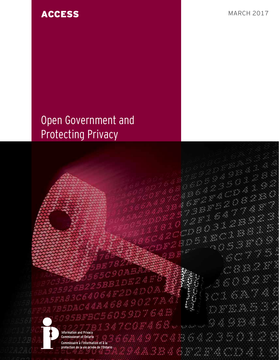# ACCESS MARCH 2017

Ç,

 $\frac{1}{2}$ 

# Open Government and Protecting Privacy



**Information and Privacy<br>Commissioner of Ontario** Commissaire à l'information et à la protection de la vie privée de l'Ontario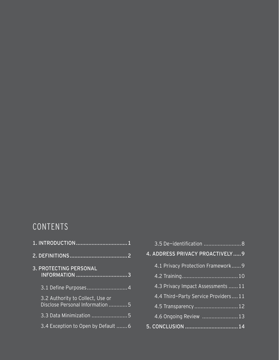# **CONTENTS**

| 3. PROTECTING PERSONAL                                              |
|---------------------------------------------------------------------|
| 3.1 Define Purposes 4                                               |
| 3.2 Authority to Collect, Use or<br>Disclose Personal Information 5 |
| 3.3 Data Minimization 5                                             |
| 3.4 Exception to Open by Default 6                                  |

|  | 3.5 De-identification 8             |  |
|--|-------------------------------------|--|
|  | 4. ADDRESS PRIVACY PROACTIVELY  9   |  |
|  | 4.1 Privacy Protection Framework9   |  |
|  |                                     |  |
|  | 4.3 Privacy Impact Assessments  11  |  |
|  | 4.4 Third-Party Service Providers11 |  |
|  | 4.5 Transparency  12                |  |
|  | 4.6 Ongoing Review  13              |  |
|  |                                     |  |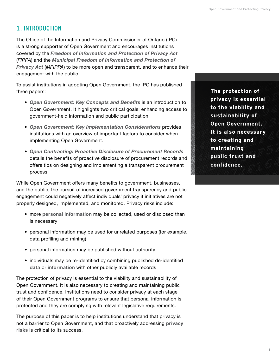# <span id="page-2-1"></span><span id="page-2-0"></span>1. INTRODUCTION

The Office of the Information and Privacy Commissioner of Ontario (IPC) is a strong supporter of Open Government and encourages institutions covered by the *[Freedom of Information and Protection of Privacy Act](https://www.ontario.ca/laws/statute/90f31)* (*FIPPA*) and the *[Municipal Freedom of Information and Protection of](https://www.ontario.ca/laws/statute/90m56)  [Privacy Act](https://www.ontario.ca/laws/statute/90m56)* (*MFIPPA*) to be more open and transparent, and to enhance their engagement with the public.

To assist institutions in adopting Open Government, the IPC has published three papers:

- *• [Open Government: Key Concepts and Benefits](https://www.ipc.on.ca/wp-content/uploads/2016/09/Open-Government-Key-Concepts-and-Benefits.pdf)* is an introduction to Open Government. It highlights two critical goals: enhancing access to government-held information and public participation.
- *• [Open Government: Key Implementation Considerations](https://www.ipc.on.ca/wp-content/uploads/2016/08/Open-Government-Key-Implementation-Considerations.pdf)* provides institutions with an overview of important factors to consider when implementing Open Government.
- *• Open Contracting: [Proactive Disclosure of Procurement Records](https://www.ipc.on.ca/wp-content/uploads/Resources/open-contracting.pdf)* details the benefits of proactive disclosure of procurement records and offers tips on designing and implementing a transparent procurement process.

While Open Government offers many benefits to government, businesses, and the public, the pursuit of increased government transparency and public engagement could negatively affect individuals' privacy if initiatives are not properly designed, implemented, and monitored. Privacy risks include:

- more **[personal information](#page-2-1)** may be collected, used or disclosed than is necessary
- personal information may be used for unrelated purposes (for example, data profiling and mining)
- personal information may be published without authority
- individuals may be re-identified by combining published de-identified **[data](#page-3-1)** or **[information](#page-3-2)** with other publicly available records

The protection of privacy is essential to the viability and sustainability of Open Government. It is also necessary to creating and maintaining public trust and confidence. Institutions need to consider privacy at each stage of their Open Government programs to ensure that personal information is protected and they are complying with relevant legislative requirements.

The purpose of this paper is to help institutions understand that privacy is not a barrier to Open Government, and that proactively addressing **[privacy](#page-4-1)  [risks](#page-4-1)** is critical to its success.

**The protection of privacy is essential to the viability and sustainability of Open Government. It is also necessary to creating and maintaining public trust and confidence.**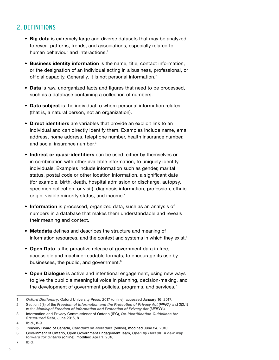# <span id="page-3-0"></span>2. DEFINITIONS

- **• Big data** is extremely large and diverse datasets that may be analyzed to reveal patterns, trends, and associations, especially related to human behaviour and interactions.<sup>1</sup>
- <span id="page-3-6"></span>**• Business identity information** is the name, title, contact information, or the designation of an individual acting in a business, professional, or official capacity. Generally, it is not personal information.<sup>2</sup>
- <span id="page-3-1"></span>**• Data** is raw, unorganized facts and figures that need to be processed, such as a database containing a collection of numbers.
- <span id="page-3-3"></span>**• Data subject** is the individual to whom personal information relates (that is, a natural person, not an organization).
- <span id="page-3-4"></span>**• Direct identifiers** are variables that provide an explicit link to an individual and can directly identify them. Examples include name, email address, home address, telephone number, health insurance number, and social insurance number.<sup>3</sup>
- <span id="page-3-5"></span>**• Indirect or quasi-identifiers** can be used, either by themselves or in combination with other available information, to uniquely identify individuals. Examples include information such as gender, marital status, postal code or other location information, a significant date (for example, birth, death, hospital admission or discharge, autopsy, specimen collection, or visit), diagnosis information, profession, ethnic origin, visible minority status, and income.<sup>4</sup>
- <span id="page-3-2"></span>**• Information** is processed, organized data, such as an analysis of numbers in a database that makes them understandable and reveals their meaning and context.
- **• Metadata** defines and describes the structure and meaning of information resources, and the context and systems in which they exist.<sup>5</sup>
- **• Open Data** is the proactive release of government data in free, accessible and machine-readable formats, to encourage its use by businesses, the public, and government.<sup>6</sup>
- **• Open Dialogue** is active and intentional engagement, using new ways to give the public a meaningful voice in planning, decision-making, and the development of government policies, programs, and services.<sup>7</sup>

<sup>1</sup> *[Oxford Dictionary](https://en.oxforddictionaries.com/definition/big_data)*, Oxford University Press, 2017 (online), accessed January 16, 2017.

<sup>2</sup> Section 2(3) of the *[Freedom of Information and the Protection of Privacy Act](https://www.ontario.ca/laws/statute/90f31)* (*FIPPA)* and 2(2.1) of the *[Municipal Freedom of Information and Protection of Privacy Act](https://www.ontario.ca/laws/statute/90m56)* (*MFIPPA*).

<sup>3</sup> Information and Privacy Commissioner of Ontario (IPC), *[De-identification Guidelines for](https://www.ipc.on.ca/wp-content/uploads/2016/08/Deidentification-Guidelines-for-Structured-Data.pdf)  [Structured Data](https://www.ipc.on.ca/wp-content/uploads/2016/08/Deidentification-Guidelines-for-Structured-Data.pdf)*, June 2016, 8.

<sup>4</sup> **[Ibid](https://www.ipc.on.ca/wp-content/uploads/2016/08/Deidentification-Guidelines-for-Structured-Data.pdf).**, 8-9.

<sup>5</sup> Treasury Board of Canada, *[Standard on Metadata](https://www.tbs-sct.gc.ca/pol/doc-eng.aspx?id=18909)* (online), modified June 24, 2010.

<sup>6</sup> Government of Ontario, Open Government Engagement Team, *[Open by Default: A new way](https://www.ontario.ca/page/open-default-new-way-forward-ontario)  [forward for Ontario](https://www.ontario.ca/page/open-default-new-way-forward-ontario)* (online), modified April 1, 2016.

<sup>7</sup> **[Ibid](https://www.ontario.ca/page/open-default-new-way-forward-ontario)***.*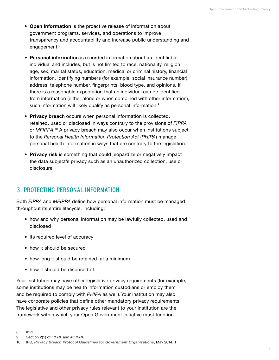- <span id="page-4-0"></span>**• Open Information** is the proactive release of information about government programs, services, and operations to improve transparency and accountability and increase public understanding and engagement.<sup>8</sup>
- **• Personal information** is recorded information about an identifiable individual and includes, but is not limited to race, nationality, religion, age, sex, marital status, education, medical or criminal history, financial information, identifying numbers (for example, social insurance number), address, telephone number, fingerprints, blood type, and opinions. If there is a reasonable expectation that an individual can be identified from information (either alone or when combined with other information), such information will likely qualify as personal information.<sup>9</sup>
- <span id="page-4-2"></span>**• Privacy breach** occurs when personal information is collected, retained, used or disclosed in ways contrary to the provisions of *FIPPA* or *MFIPPA*. <sup>10</sup> A privacy breach may also occur when institutions subject to the *Personal Health Information Protection Act* (*PHIPA*) manage personal health information in ways that are contrary to the legislation.
- <span id="page-4-1"></span>**• Privacy risk** is something that could jeopardize or negatively impact the data subject's privacy such as an unauthorized collection, use or disclosure.

#### 3. PROTECTING PERSONAL INFORMATION

Both *FIPPA* and *MFIPPA* define how personal information must be managed throughout its entire lifecycle, including:

- how and why personal information may be lawfully collected, used and disclosed
- its required level of accuracy
- how it should be secured
- how long it should be retained, at a minimum
- how it should be disposed of

Your institution may have other legislative privacy requirements (for example, some institutions may be health information custodians or employ them and be required to comply with *PHIPA* as well). Your institution may also have corporate policies that define other mandatory privacy requirements. The legislative and other privacy rules relevant to your institution are the framework within which your Open Government initiative must function.

<sup>8</sup> **[Ibid](https://www.ontario.ca/page/open-default-new-way-forward-ontario)***.*

<sup>9</sup> Section 2(1) of *FIPPA* and *MFIPPA*.

<sup>10</sup> IPC, *[Privacy Breach Protocol Guidelines for Government Organizations](https://www.ipc.on.ca/wp-content/uploads/Resources/Privacy-Breach-e.pdf)*, May 2014, 1.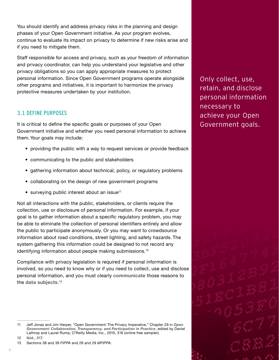<span id="page-5-0"></span>You should identify and address privacy risks in the planning and design phases of your Open Government initiative. As your program evolves, continue to evaluate its impact on privacy to determine if new risks arise and if you need to mitigate them.

Staff responsible for access and privacy, such as your freedom of information and privacy coordinator, can help you understand your legislative and other privacy obligations so you can apply appropriate measures to protect personal information. Since Open Government programs operate alongside other programs and initiatives, it is important to harmonize the privacy protective measures undertaken by your institution.

#### 3.1 DEFINE PURPOSES

It is critical to define the specific goals or purposes of your Open Government initiative and whether you need personal information to achieve them. Your goals may include:

- providing the public with a way to request services or provide feedback
- communicating to the public and stakeholders
- gathering information about technical, policy, or regulatory problems
- collaborating on the design of new government programs
- surveying public interest about an issue<sup>11</sup>

Not all interactions with the public, stakeholders, or clients require the collection, use or disclosure of personal information. For example, if your goal is to gather information about a specific regulatory problem, you may be able to eliminate the collection of personal identifiers entirely and allow the public to participate anonymously. Or you may want to crowdsource information about road conditions, street lighting, and safety hazards. The system gathering this information could be designed to not record any identifying information about people making submissions.<sup>12</sup>

Compliance with privacy legislation is required if personal information is involved, so you need to know why or if you need to collect, use and disclose personal information, and you must clearly **[communicate](#page-13-1)** those reasons to the **[data subjects](#page-3-3)**. 13

11 Jeff Jonas and Jim Harper, "Open Government: The Privacy Imperative," Chapter 29 in *[Open](http://jeffjonas.typepad.com/Open_Government_ch29_Sampler.pdf)  [Government: Collaboration, Transparency, and Participation in Practice](http://jeffjonas.typepad.com/Open_Government_ch29_Sampler.pdf)*, edited by Daniel Lathrop and Laurel Ruma, O'Reilly Media, Inc., 2010, 316 (online free sampler).

12 **[Ibid](http://jeffjonas.typepad.com/Open_Government_ch29_Sampler.pdf)***.*, 317.

Only collect, use, retain, and disclose personal information necessary to achieve your Open Government goals.

<sup>13</sup> Sections 38 and 39 *FIPPA* and 28 and 29 *MFIPPA*.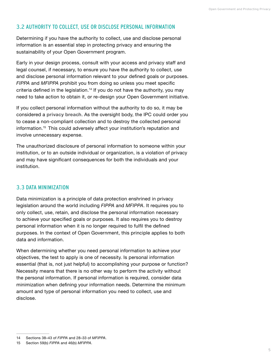#### <span id="page-6-0"></span>3.2 AUTHORITY TO COLLECT, USE OR DISCLOSE PERSONAL INFORMATION

Determining if you have the authority to collect, use and disclose personal information is an essential step in protecting privacy and ensuring the sustainability of your Open Government program.

Early in your design process, consult with your access and privacy staff and legal counsel, if necessary, to ensure you have the authority to collect, use and disclose personal information relevant to your defined goals or purposes. *FIPPA* and *MFIPPA* prohibit you from doing so unless you meet specific criteria defined in the legislation.<sup>14</sup> If you do not have the authority, you may need to take action to obtain it, or re-design your Open Government initiative.

If you collect personal information without the authority to do so, it may be considered a **[privacy breach](#page-4-2)**. As the oversight body, the IPC could order you to cease a non-compliant collection and to destroy the collected personal information.<sup>15</sup> This could adversely affect your institution's reputation and involve unnecessary expense.

The unauthorized disclosure of personal information to someone within your institution, or to an outside individual or organization, is a violation of privacy and may have significant consequences for both the individuals and your institution.

#### 3.3 DATA MINIMIZATION

Data minimization is a principle of data protection enshrined in privacy legislation around the world including *FIPPA* and *MFIPPA*. It requires you to only collect, use, retain, and disclose the personal information necessary to achieve your specified goals or purposes. It also requires you to destroy personal information when it is no longer required to fulfil the defined purposes. In the context of Open Government, this principle applies to both data and information.

When determining whether you need personal information to achieve your objectives, the test to apply is one of necessity. Is personal information essential (that is, not just helpful) to accomplishing your purpose or function? Necessity means that there is no other way to perform the activity without the personal information. If personal information is required, consider data minimization when defining your information needs. Determine the minimum amount and type of personal information you need to collect, use and disclose.

<sup>14</sup> Sections 38–43 of *FIPPA* and 28–33 of *MFIPPA*.

<sup>15</sup> Section 59(b) *FIPPA* and 46(b) *MFIPPA*.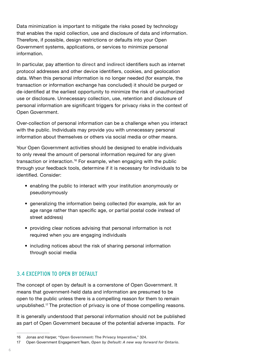<span id="page-7-0"></span>Data minimization is important to mitigate the risks posed by technology that enables the rapid collection, use and disclosure of data and information. Therefore, if possible, design restrictions or defaults into your Open Government systems, applications, or services to minimize personal information.

In particular, pay attention to **[direct](#page-3-4)** and **[indirect](#page-3-5)** identifiers such as internet protocol addresses and other device identifiers, cookies, and geolocation data. When this personal information is no longer needed (for example, the transaction or information exchange has concluded) it should be purged or de-identified at the earliest opportunity to minimize the risk of unauthorized use or disclosure. Unnecessary collection, use, retention and disclosure of personal information are significant triggers for privacy risks in the context of Open Government.

Over-collection of personal information can be a challenge when you interact with the public. Individuals may provide you with unnecessary personal information about themselves or others via social media or other means.

Your Open Government activities should be designed to enable individuals to only reveal the amount of personal information required for any given transaction or interaction.<sup>16</sup> For example, when engaging with the public through your feedback tools, determine if it is necessary for individuals to be identified. Consider:

- enabling the public to interact with your institution anonymously or pseudonymously
- generalizing the information being collected (for example, ask for an age range rather than specific age, or partial postal code instead of street address)
- providing clear notices advising that personal information is not required when you are engaging individuals
- including notices about the risk of sharing personal information through social media

### 3.4 EXCEPTION TO OPEN BY DEFAULT

The concept of open by default is a cornerstone of Open Government. It means that government-held data and information are presumed to be open to the public unless there is a compelling reason for them to remain unpublished.<sup>17</sup> The protection of privacy is one of those compelling reasons.

It is generally understood that personal information should not be published as part of Open Government because of the potential adverse impacts. For

<sup>16</sup> Jonas and Harper, **["Open Government: The Privacy Imperative,"](http://jeffjonas.typepad.com/Open_Government_ch29_Sampler.pdf)** 324.

<sup>17</sup> Open Government Engagement Team, *[Open by Default: A new way forward for Ontario](https://www.ontario.ca/page/open-default-new-way-forward-ontario)*.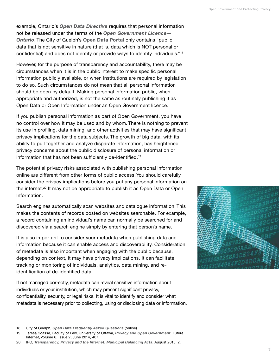example, Ontario's *[Open Data Directive](https://www.ontario.ca/page/ontarios-open-data-directive)* requires that personal information not be released under the terms of the *[Open Government Licence—](https://www.ontario.ca/page/open-government-licence-ontario) [Ontario](https://www.ontario.ca/page/open-government-licence-ontario)*. The City of Guelph's **[Open Data Portal](http://data.open.guelph.ca/)** only contains "public data that is not sensitive in nature (that is, data which is NOT personal or confidential) and does not identify or provide ways to identify individuals."18

However, for the purpose of transparency and accountability, there may be circumstances when it is in the public interest to make specific personal information publicly available, or when institutions are required by legislation to do so. Such circumstances do not mean that all personal information should be open by default. Making personal information public, when appropriate and authorized, is not the same as routinely publishing it as Open Data or Open Information under an Open Government licence.

If you publish personal information as part of Open Government, you have no control over how it may be used and by whom. There is nothing to prevent its use in profiling, data mining, and other activities that may have significant privacy implications for the data subjects. The growth of big data, with its ability to pull together and analyze disparate information, has heightened privacy concerns about the public disclosure of personal information or information that has not been sufficiently de-identified.19

The potential privacy risks associated with publishing personal information online are different from other forms of public access. You should carefully consider the privacy implications before you put any personal information on the internet.20 It may not be appropriate to publish it as Open Data or Open Information.

Search engines automatically scan websites and catalogue information. This makes the contents of records posted on websites searchable. For example, a record containing an individual's name can normally be searched for and discovered via a search engine simply by entering that person's name.

It is also important to consider your metadata when publishing data and information because it can enable access and discoverability. Consideration of metadata is also important when engaging with the public because, depending on context, it may have privacy implications. It can facilitate tracking or monitoring of individuals, analytics, data mining, and reidentification of de-identified data.

If not managed correctly, metadata can reveal sensitive information about individuals or your institution, which may present significant privacy, confidentiality, security, or legal risks. It is vital to identify and consider what metadata is necessary prior to collecting, using or disclosing data or information.



<sup>18</sup> City of Guelph, *[Open Data Frequently Asked Questions](http://data.open.guelph.ca/pages/faq)* (online).

<sup>19</sup> Teresa Scassa, Faculty of Law, University of Ottawa, *[Privacy and Open Government](http://www.mdpi.com/1999-5903/6/2/397/htm)*, Future Internet, Volume 6, Issue 2, June 2014, 407.

<sup>20</sup> IPC, *[Transparency, Privacy and the Internet: Municipal Balancing Acts](https://www.ipc.on.ca/wp-content/uploads/Resources/2015-municipal guide-public discl-access.pdf)*, August 2015, 2.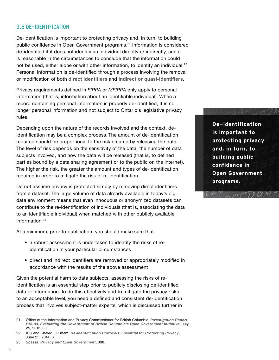#### <span id="page-9-0"></span>3.5 DE-IDENTIFICATION

De-identification is important to protecting privacy and, in turn, to building public confidence in Open Government programs.<sup>21</sup> Information is considered de-identified if it does not identify an individual directly or indirectly, and it is reasonable in the circumstances to conclude that the information could not be used, either alone or with other information, to identify an individual.<sup>22</sup> Personal information is de-identified through a process involving the removal or modification of both **[direct identifiers](#page-3-4)** and **[indirect or quasi-identifiers](#page-3-5)**.

Privacy requirements defined in *FIPPA* or *MFIPPA* only apply to personal information (that is, information about an identifiable individual). When a record containing personal information is properly de-identified, it is no longer personal information and not subject to Ontario's legislative privacy rules.

Depending upon the nature of the records involved and the context, deidentification may be a complex process. The amount of de-identification required should be proportional to the risk created by releasing the data. The level of risk depends on the sensitivity of the data, the number of data subjects involved, and how the data will be released (that is, to defined parties bound by a data sharing agreement or to the public on the internet). The higher the risk, the greater the amount and types of de-identification required in order to mitigate the risk of re-identification.

Do not assume privacy is protected simply by removing direct identifiers from a dataset. The large volume of data already available in today's big data environment means that even innocuous or anonymized datasets can contribute to the re-identification of individuals (that is, associating the data to an identifiable individual) when matched with other publicly available information.<sup>23</sup>

At a minimum, prior to publication, you should make sure that:

- a robust assessment is undertaken to identify the risks of reidentification in your particular circumstances
- direct and indirect identifiers are removed or appropriately modified in accordance with the results of the above assessment

Given the potential harm to data subjects, assessing the risks of reidentification is an essential step prior to publicly disclosing de-identified data or information. To do this effectively and to mitigate the privacy risks to an acceptable level, you need a defined and consistent de-identification process that involves subject-matter experts, which is discussed further in **De-identification is important to protecting privacy and, in turn, to building public confidence in Open Government programs.**

*<u>Come Advertised</u>* 

<sup>21</sup> Office of the Information and Privacy Commissioner for British Columbia, *[Investigation Report](https://www.oipc.bc.ca/investigation-reports/1553)  [F13-03, Evaluating the Government of British Columbia's Open Government Initiative](https://www.oipc.bc.ca/investigation-reports/1553)*, July 25, 2013, 33.

<sup>22</sup> IPC and Khaled El Emam, *[De-identification Protocols: Essential for Protecting Privacy](https://www.ipc.on.ca/wp-content/uploads/Resources/pbd-de-identifcation_essential.pdf)*, June 25, 2014, 3.

<sup>23</sup> Scassa, *[Privacy and Open Government](http://www.mdpi.com/1999-5903/6/2/397/htm)*, 398.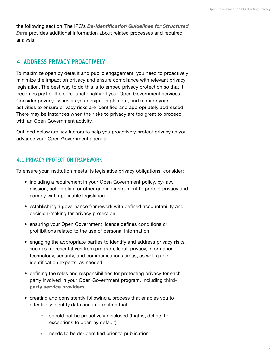<span id="page-10-0"></span>the following section. The IPC's *[De-identification Guidelines for Structured](https://www.ipc.on.ca/wp-content/uploads/2016/08/Deidentification-Guidelines-for-Structured-Data.pdf) [Data](https://www.ipc.on.ca/wp-content/uploads/2016/08/Deidentification-Guidelines-for-Structured-Data.pdf)* provides additional information about related processes and required analysis.

#### 4. ADDRESS PRIVACY PROACTIVELY

To maximize open by default and public engagement, you need to proactively minimize the impact on privacy and ensure compliance with relevant privacy legislation. The best way to do this is to embed privacy protection so that it becomes part of the core functionality of your Open Government services. Consider privacy issues as you design, implement, and monitor your activities to ensure privacy risks are identified and appropriately addressed. There may be instances when the risks to privacy are too great to proceed with an Open Government activity.

Outlined below are key factors to help you proactively protect privacy as you advance your Open Government agenda.

#### <span id="page-10-1"></span>4.1 PRIVACY PROTECTION FRAMEWORK

To ensure your institution meets its legislative privacy obligations, consider:

- including a requirement in your Open Government policy, by-law, mission, action plan, or other guiding instrument to protect privacy and comply with applicable legislation
- establishing a governance framework with defined accountability and decision-making for privacy protection
- ensuring your Open Government licence defines conditions or prohibitions related to the use of personal information
- engaging the appropriate parties to identify and address privacy risks, such as representatives from program, legal, privacy, information technology, security, and communications areas, as well as deidentification experts, as needed
- defining the roles and responsibilities for protecting privacy for each party involved in your Open Government program, including **[third](#page-12-1)[party service providers](#page-12-1)**
- creating and consistently following a process that enables you to effectively identify data and information that:
	- $\circ$  should not be proactively disclosed (that is, define the exceptions to open by default)
	- $\circ$  needs to be de-identified prior to publication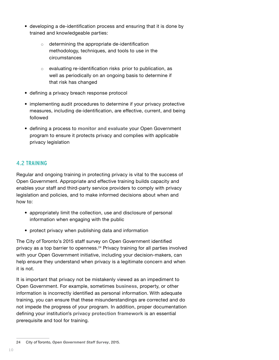- <span id="page-11-0"></span>• developing a de-identification process and ensuring that it is done by trained and knowledgeable parties:
	- $\circ$  determining the appropriate de-identification methodology, techniques, and tools to use in the circumstances
	- $\circ$  evaluating re-identification risks prior to publication, as well as periodically on an ongoing basis to determine if that risk has changed
- defining a privacy breach response protocol
- implementing audit procedures to determine if your privacy protective measures, including de-identification, are effective, current, and being followed
- defining a process to **[monitor and evaluate](#page-14-1)** your Open Government program to ensure it protects privacy and complies with applicable privacy legislation

#### 4.2 TRAINING

Regular and ongoing training in protecting privacy is vital to the success of Open Government. Appropriate and effective training builds capacity and enables your staff and third-party service providers to comply with privacy legislation and policies, and to make informed decisions about when and how to:

- appropriately limit the collection, use and disclosure of personal information when engaging with the public
- protect privacy when publishing data and information

The City of Toronto's 2015 staff survey on Open Government identified privacy as a top barrier to openness.<sup>24</sup> Privacy training for all parties involved with your Open Government initiative, including your decision-makers, can help ensure they understand when privacy is a legitimate concern and when it is not.

It is important that privacy not be mistakenly viewed as an impediment to Open Government. For example, sometimes **[business](#page-3-6)**, property, or other information is incorrectly identified as personal information. With adequate training, you can ensure that these misunderstandings are corrected and do not impede the progress of your program. In addition, proper documentation defining your institution's **[privacy protection framework](#page-10-1)** is an essential prerequisite and tool for training.

<sup>24</sup> City of Toronto, *[Open Government Staff Survey](http://www1.toronto.ca/City Of Toronto/City Clerks/Corporate Information Management Services/Files/pdf/O/Open Government Staff SurveyForWeb.pdf)*, 2015.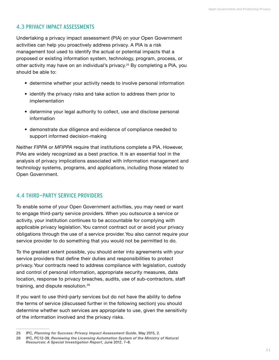#### <span id="page-12-0"></span>4.3 PRIVACY IMPACT ASSESSMENTS

Undertaking a privacy impact assessment (PIA) on your Open Government activities can help you proactively address privacy. A PIA is a risk management tool used to identify the actual or potential impacts that a proposed or existing information system, technology, program, process, or other activity may have on an individual's privacy.<sup>25</sup> By completing a PIA, you should be able to:

- determine whether your activity needs to involve personal information
- identify the privacy risks and take action to address them prior to implementation
- determine your legal authority to collect, use and disclose personal information
- demonstrate due diligence and evidence of compliance needed to support informed decision-making

Neither *FIPPA* or *MFIPPA* require that institutions complete a PIA. However, PIAs are widely recognized as a best practice. It is an essential tool in the analysis of privacy implications associated with information management and technology systems, programs, and applications, including those related to Open Government.

#### <span id="page-12-1"></span>4.4 THIRD-PARTY SERVICE PROVIDERS

To enable some of your Open Government activities, you may need or want to engage third-party service providers. When you outsource a service or activity, your institution continues to be accountable for complying with applicable privacy legislation. You cannot contract out or avoid your privacy obligations through the use of a service provider. You also cannot require your service provider to do something that you would not be permitted to do.

To the greatest extent possible, you should enter into agreements with your service providers that define their duties and responsibilities to protect privacy. Your contracts need to address compliance with legislation, custody and control of personal information, appropriate security measures, data location, response to privacy breaches, audits, use of sub-contractors, staff training, and dispute resolution.<sup>26</sup>

If you want to use third-party services but do not have the ability to define the terms of service (discussed further in the following section) you should determine whether such services are appropriate to use, given the sensitivity of the information involved and the privacy risks.

<sup>25</sup> IPC, *[Planning for Success: Privacy Impact Assessment Guide](https://www.ipc.on.ca/wp-content/uploads/2015/05/Planning-for-Success-PIA-Guide.pdf)*, May 2015, 2.

<sup>26</sup> IPC, PC12-39, *[Reviewing the Licensing Automation System of the Ministry of Natural](https://www.ipc.on.ca/wp-content/uploads/2016/08/Reviewing-the-Licensing-Automation-System-of-the-Ministry-of-Natural-Resources-A-Special-Investigation-Report-PC12-39.pdf)  [Resources: A Special Investigation Report](https://www.ipc.on.ca/wp-content/uploads/2016/08/Reviewing-the-Licensing-Automation-System-of-the-Ministry-of-Natural-Resources-A-Special-Investigation-Report-PC12-39.pdf)*, June 2012, 7–8.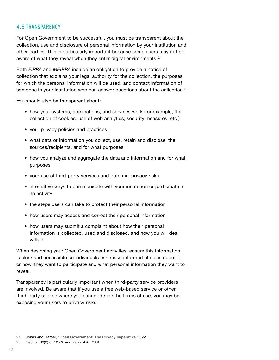#### <span id="page-13-1"></span><span id="page-13-0"></span>4.5 TRANSPARENCY

For Open Government to be successful, you must be transparent about the collection, use and disclosure of personal information by your institution and other parties. This is particularly important because some users may not be aware of what they reveal when they enter digital environments.<sup>27</sup>

Both *FIPPA* and *MFIPPA* include an obligation to provide a notice of collection that explains your legal authority for the collection, the purposes for which the personal information will be used, and contact information of someone in your institution who can answer questions about the collection.<sup>28</sup>

You should also be transparent about:

- how your systems, applications, and services work (for example, the collection of cookies, use of web analytics, security measures, etc.)
- your privacy policies and practices
- what data or information you collect, use, retain and disclose, the sources/recipients, and for what purposes
- how you analyze and aggregate the data and information and for what purposes
- your use of third-party services and potential privacy risks
- alternative ways to communicate with your institution or participate in an activity
- the steps users can take to protect their personal information
- how users may access and correct their personal information
- how users may submit a complaint about how their personal information is collected, used and disclosed, and how you will deal with it

When designing your Open Government activities, ensure this information is clear and accessible so individuals can make informed choices about if, or how, they want to participate and what personal information they want to reveal.

Transparency is particularly important when third-party service providers are involved. Be aware that if you use a free web-based service or other third-party service where you cannot define the terms of use, you may be exposing your users to privacy risks.

<sup>27</sup> Jonas and Harper, "**[Open Government: The Privacy Imperative](http://jeffjonas.typepad.com/Open_Government_ch29_Sampler.pdf)***,*" 322.

<sup>28</sup> Section 39(2) of *FIPPA* and 29(2) of *MFIPPA*.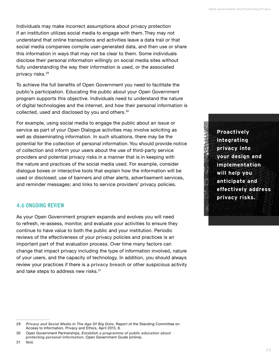<span id="page-14-0"></span>Individuals may make incorrect assumptions about privacy protection if an institution utilizes social media to engage with them. They may not understand that online transactions and activities leave a data trail or that social media companies compile user-generated data, and then use or share this information in ways that may not be clear to them. Some individuals disclose their personal information willingly on social media sites without fully understanding the way their information is used, or the associated privacy risks.29

To achieve the full benefits of Open Government you need to facilitate the public's participation. Educating the public about your Open Government program supports this objective. Individuals need to understand the nature of digital technologies and the internet, and how their personal information is collected, used and disclosed by you and others.<sup>30</sup>

For example, using social media to engage the public about an issue or service as part of your Open Dialogue activities may involve soliciting as well as disseminating information. In such situations, there may be the potential for the collection of personal information. You should provide notice of collection and inform your users about the use of third-party service providers and potential privacy risks in a manner that is in keeping with the nature and practices of the social media used. For example, consider dialogue boxes or interactive tools that explain how the information will be used or disclosed; use of banners and other alerts, advertisement services, and reminder messages; and links to service providers' privacy policies.

#### <span id="page-14-1"></span>4.6 ONGOING REVIEW

As your Open Government program expands and evolves you will need to refresh, re-assess, monitor, and evaluate your activities to ensure they continue to have value to both the public and your institution. Periodic reviews of the effectiveness of your privacy policies and practices is an important part of that evaluation process. Over time many factors can change that impact privacy including the type of information involved, nature of your users, and the capacity of technology. In addition, you should always review your practices if there is a **[privacy breach](#page-4-2)** or other suspicious activity and take steps to address new risks.<sup>31</sup>

**Proactively integrating privacy into your design and implementation will help you anticipate and effectively address privacy risks.**

いんだん

<sup>29</sup> *[Privacy and Social Media in The Age Of Big Data](http://www.parl.gc.ca/content/hoc/Committee/411/ETHI/Reports/RP6094136/ethirp05/ethirp05-e.pdf)*, Report of the Standing Committee on Access to Information, Privacy and Ethics, April 2013, 8.

<sup>30</sup> Open Government Partnerships, *[Establish a programme of public education about](http://www.opengovguide.com/commitments/establish-programme-public-education-protecting-personal-information/)  [protecting personal information](http://www.opengovguide.com/commitments/establish-programme-public-education-protecting-personal-information/)*, Open Government Guide (online).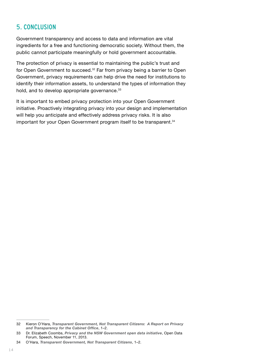### 5. CONCLUSION

Government transparency and access to data and information are vital ingredients for a free and functioning democratic society. Without them, the public cannot participate meaningfully or hold government accountable.

The protection of privacy is essential to maintaining the public's trust and for Open Government to succeed.<sup>32</sup> Far from privacy being a barrier to Open Government, privacy requirements can help drive the need for institutions to identify their information assets, to understand the types of information they hold, and to develop appropriate governance.<sup>33</sup>

It is important to embed privacy protection into your Open Government initiative. Proactively integrating privacy into your design and implementation will help you anticipate and effectively address privacy risks. It is also important for your Open Government program itself to be transparent.<sup>34</sup>

<sup>32</sup> Kieron O'Hara, *[Transparent Government, Not Transparent Citizens: A Report on Privacy](https://www.gov.uk/government/uploads/system/uploads/attachment_data/file/61279/transparency-and-privacy-review-annex-a.pdf)  [and Transparency for the Cabinet Office](https://www.gov.uk/government/uploads/system/uploads/attachment_data/file/61279/transparency-and-privacy-review-annex-a.pdf)*, 1–2.

<sup>33</sup> Dr. Elizabeth Coombs, *[Privacy and the NSW Government open data initiative](http://www.ipc.nsw.gov.au/sites/default/files/file_manager/Privacy_Commissioners_open_data_forum_speech_November_2013_ACC.pdf)*, Open Data Forum, Speech, November 11, 2013.

<sup>34</sup> O'Hara, *[Transparent Government, Not Transparent Citizens](https://www.gov.uk/government/uploads/system/uploads/attachment_data/file/61279/transparency-and-privacy-review-annex-a.pdf)*, 1–2.